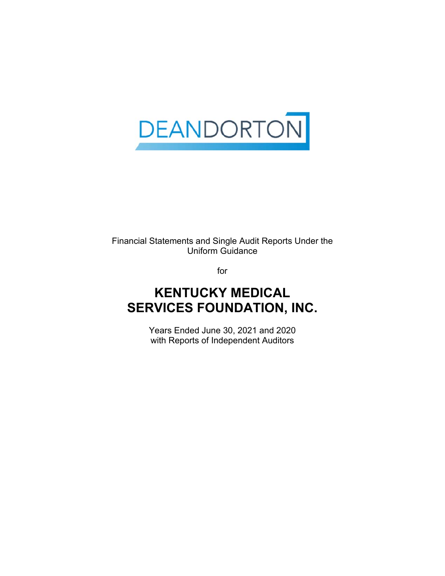

# Financial Statements and Single Audit Reports Under the Uniform Guidance

for

# **KENTUCKY MEDICAL SERVICES FOUNDATION, INC.**

Years Ended June 30, 2021 and 2020 with Reports of Independent Auditors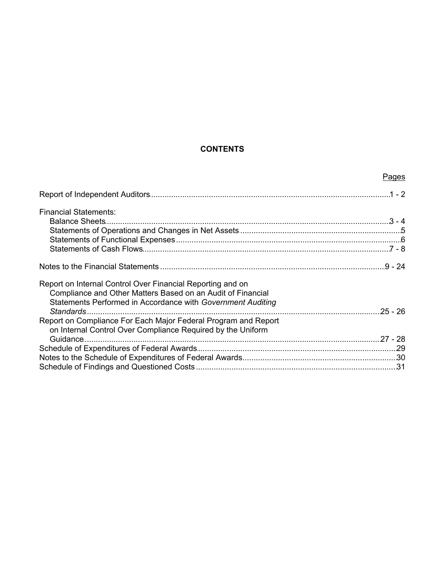# **CONTENTS**

|                                                                                                                               | <b>Pages</b> |
|-------------------------------------------------------------------------------------------------------------------------------|--------------|
|                                                                                                                               |              |
| <b>Financial Statements:</b>                                                                                                  |              |
|                                                                                                                               |              |
|                                                                                                                               |              |
|                                                                                                                               |              |
|                                                                                                                               |              |
|                                                                                                                               |              |
| Report on Internal Control Over Financial Reporting and on<br>Compliance and Other Matters Based on an Audit of Financial     |              |
| Statements Performed in Accordance with Government Auditing                                                                   |              |
|                                                                                                                               |              |
| Report on Compliance For Each Major Federal Program and Report<br>on Internal Control Over Compliance Required by the Uniform |              |
| Guidance.                                                                                                                     |              |
|                                                                                                                               |              |
|                                                                                                                               |              |
|                                                                                                                               |              |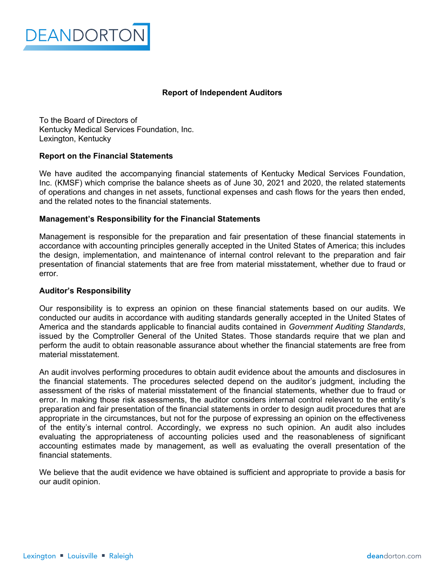

### **Report of Independent Auditors**

To the Board of Directors of Kentucky Medical Services Foundation, Inc. Lexington, Kentucky

### **Report on the Financial Statements**

We have audited the accompanying financial statements of Kentucky Medical Services Foundation, Inc. (KMSF) which comprise the balance sheets as of June 30, 2021 and 2020, the related statements of operations and changes in net assets, functional expenses and cash flows for the years then ended, and the related notes to the financial statements.

#### **Management's Responsibility for the Financial Statements**

Management is responsible for the preparation and fair presentation of these financial statements in accordance with accounting principles generally accepted in the United States of America; this includes the design, implementation, and maintenance of internal control relevant to the preparation and fair presentation of financial statements that are free from material misstatement, whether due to fraud or error.

#### **Auditor's Responsibility**

Our responsibility is to express an opinion on these financial statements based on our audits. We conducted our audits in accordance with auditing standards generally accepted in the United States of America and the standards applicable to financial audits contained in *Government Auditing Standards*, issued by the Comptroller General of the United States. Those standards require that we plan and perform the audit to obtain reasonable assurance about whether the financial statements are free from material misstatement.

An audit involves performing procedures to obtain audit evidence about the amounts and disclosures in the financial statements. The procedures selected depend on the auditor's judgment, including the assessment of the risks of material misstatement of the financial statements, whether due to fraud or error. In making those risk assessments, the auditor considers internal control relevant to the entity's preparation and fair presentation of the financial statements in order to design audit procedures that are appropriate in the circumstances, but not for the purpose of expressing an opinion on the effectiveness of the entity's internal control. Accordingly, we express no such opinion. An audit also includes evaluating the appropriateness of accounting policies used and the reasonableness of significant accounting estimates made by management, as well as evaluating the overall presentation of the financial statements.

We believe that the audit evidence we have obtained is sufficient and appropriate to provide a basis for our audit opinion.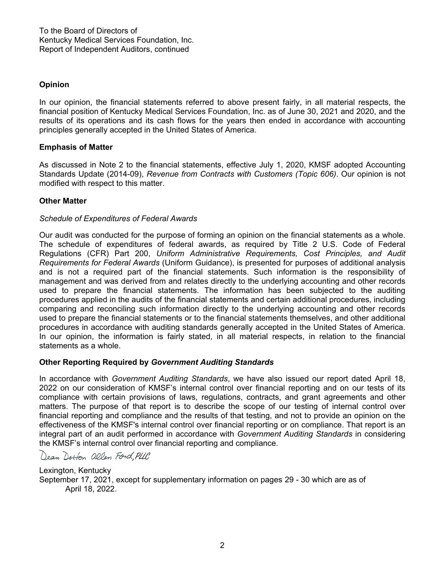### **Opinion**

In our opinion, the financial statements referred to above present fairly, in all material respects, the financial position of Kentucky Medical Services Foundation, Inc. as of June 30, 2021 and 2020, and the results of its operations and its cash flows for the years then ended in accordance with accounting principles generally accepted in the United States of America.

### **Emphasis of Matter**

As discussed in Note 2 to the financial statements, effective July 1, 2020, KMSF adopted Accounting Standards Update (2014-09), *Revenue from Contracts with Customers (Topic 606)*. Our opinion is not modified with respect to this matter.

### **Other Matter**

### *Schedule of Expenditures of Federal Awards*

Our audit was conducted for the purpose of forming an opinion on the financial statements as a whole. The schedule of expenditures of federal awards, as required by Title 2 U.S. Code of Federal Regulations (CFR) Part 200, *Uniform Administrative Requirements, Cost Principles, and Audit Requirements for Federal Awards* (Uniform Guidance), is presented for purposes of additional analysis and is not a required part of the financial statements. Such information is the responsibility of management and was derived from and relates directly to the underlying accounting and other records used to prepare the financial statements. The information has been subjected to the auditing procedures applied in the audits of the financial statements and certain additional procedures, including comparing and reconciling such information directly to the underlying accounting and other records used to prepare the financial statements or to the financial statements themselves, and other additional procedures in accordance with auditing standards generally accepted in the United States of America. In our opinion, the information is fairly stated, in all material respects, in relation to the financial statements as a whole.

### **Other Reporting Required by** *Government Auditing Standards*

In accordance with *Government Auditing Standards*, we have also issued our report dated April 18, 2022 on our consideration of KMSF's internal control over financial reporting and on our tests of its compliance with certain provisions of laws, regulations, contracts, and grant agreements and other matters. The purpose of that report is to describe the scope of our testing of internal control over financial reporting and compliance and the results of that testing, and not to provide an opinion on the effectiveness of the KMSF's internal control over financial reporting or on compliance. That report is an integral part of an audit performed in accordance with *Government Auditing Standards* in considering the KMSF's internal control over financial reporting and compliance.

Dean Dorton allen Ford, PUC

Lexington, Kentucky September 17, 2021, except for supplementary information on pages 29 - 30 which are as of April 18, 2022.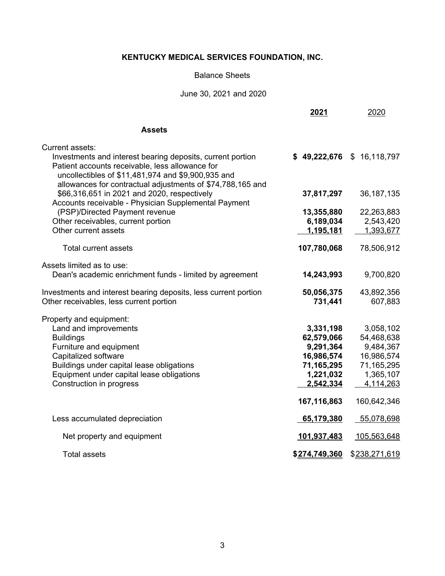### Balance Sheets

# June 30, 2021 and 2020

|                                                                                                                                                                                                                                                             | 2021                  | 2020                        |
|-------------------------------------------------------------------------------------------------------------------------------------------------------------------------------------------------------------------------------------------------------------|-----------------------|-----------------------------|
| <b>Assets</b>                                                                                                                                                                                                                                               |                       |                             |
| <b>Current assets:</b><br>Investments and interest bearing deposits, current portion<br>Patient accounts receivable, less allowance for<br>uncollectibles of \$11,481,974 and \$9,900,935 and<br>allowances for contractual adjustments of \$74,788,165 and |                       | $$49,222,676$ $$16,118,797$ |
| \$66,316,651 in 2021 and 2020, respectively<br>Accounts receivable - Physician Supplemental Payment                                                                                                                                                         | 37,817,297            | 36, 187, 135                |
| (PSP)/Directed Payment revenue                                                                                                                                                                                                                              | 13,355,880            | 22,263,883                  |
| Other receivables, current portion                                                                                                                                                                                                                          | 6,189,034             | 2,543,420                   |
| Other current assets                                                                                                                                                                                                                                        | 1,195,181             | 1,393,677                   |
| <b>Total current assets</b>                                                                                                                                                                                                                                 | 107,780,068           | 78,506,912                  |
| Assets limited as to use:                                                                                                                                                                                                                                   |                       |                             |
| Dean's academic enrichment funds - limited by agreement                                                                                                                                                                                                     | 14,243,993            | 9,700,820                   |
| Investments and interest bearing deposits, less current portion<br>Other receivables, less current portion                                                                                                                                                  | 50,056,375<br>731,441 | 43,892,356<br>607,883       |
| Property and equipment:                                                                                                                                                                                                                                     |                       |                             |
| Land and improvements                                                                                                                                                                                                                                       | 3,331,198             | 3,058,102                   |
| <b>Buildings</b>                                                                                                                                                                                                                                            | 62,579,066            | 54,468,638                  |
| Furniture and equipment                                                                                                                                                                                                                                     | 9,291,364             | 9,484,367                   |
| Capitalized software                                                                                                                                                                                                                                        | 16,986,574            | 16,986,574                  |
| Buildings under capital lease obligations                                                                                                                                                                                                                   | 71,165,295            | 71,165,295                  |
| Equipment under capital lease obligations                                                                                                                                                                                                                   | 1,221,032             | 1,365,107                   |
| Construction in progress                                                                                                                                                                                                                                    | 2,542,334             | 4,114,263                   |
|                                                                                                                                                                                                                                                             | 167,116,863           | 160,642,346                 |
| Less accumulated depreciation                                                                                                                                                                                                                               | 65,179,380            | 55,078,698                  |
| Net property and equipment                                                                                                                                                                                                                                  | 101,937,483           | 105,563,648                 |
| <b>Total assets</b>                                                                                                                                                                                                                                         | \$274,749,360         | \$238,271,619               |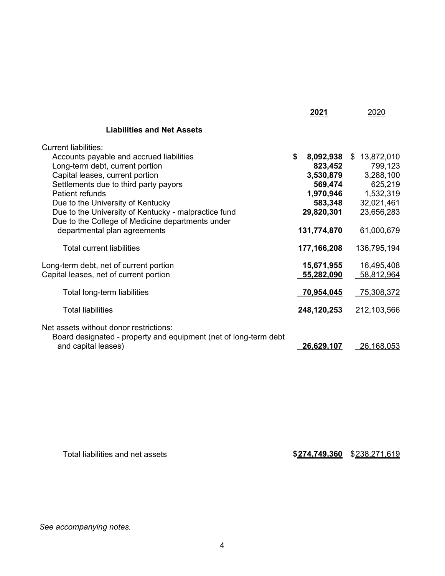|                                                                                                            | 2021            | 2020             |
|------------------------------------------------------------------------------------------------------------|-----------------|------------------|
| <b>Liabilities and Net Assets</b>                                                                          |                 |                  |
| Current liabilities:                                                                                       |                 |                  |
| Accounts payable and accrued liabilities                                                                   | \$<br>8,092,938 | 13,872,010<br>\$ |
| Long-term debt, current portion                                                                            | 823,452         | 799,123          |
| Capital leases, current portion                                                                            | 3,530,879       | 3,288,100        |
| Settlements due to third party payors                                                                      | 569,474         | 625,219          |
| Patient refunds                                                                                            | 1,970,946       | 1,532,319        |
| Due to the University of Kentucky                                                                          | 583,348         | 32,021,461       |
| Due to the University of Kentucky - malpractice fund<br>Due to the College of Medicine departments under   | 29,820,301      | 23,656,283       |
| departmental plan agreements                                                                               | 131,774,870     | 61,000,679       |
| <b>Total current liabilities</b>                                                                           | 177,166,208     | 136,795,194      |
| Long-term debt, net of current portion                                                                     | 15,671,955      | 16,495,408       |
| Capital leases, net of current portion                                                                     | 55,282,090      | 58,812,964       |
| Total long-term liabilities                                                                                | 70,954,045      | 75,308,372       |
| <b>Total liabilities</b>                                                                                   | 248,120,253     | 212,103,566      |
| Net assets without donor restrictions:<br>Board designated - property and equipment (net of long-term debt |                 |                  |
| and capital leases)                                                                                        | 26,629,107      | 26,168,053       |

Total liabilities and net assets **\$274,749,360** \$238,271,619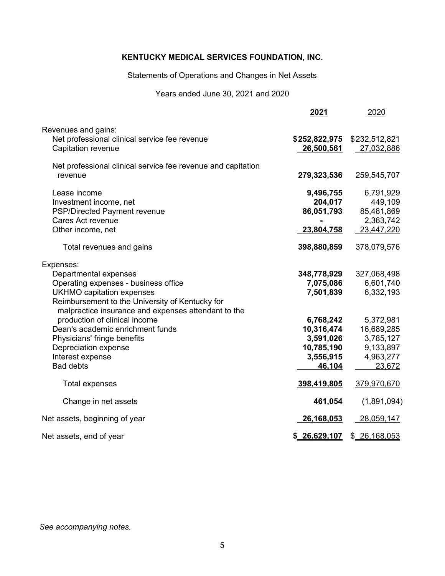Statements of Operations and Changes in Net Assets

Years ended June 30, 2021 and 2020

|                                                                                                                                                                                                                          | 2021                                                                      | 2020                                                                         |
|--------------------------------------------------------------------------------------------------------------------------------------------------------------------------------------------------------------------------|---------------------------------------------------------------------------|------------------------------------------------------------------------------|
| Revenues and gains:<br>Net professional clinical service fee revenue<br>Capitation revenue                                                                                                                               | \$252,822,975<br>26,500,561                                               | \$232,512,821<br>27,032,886                                                  |
| Net professional clinical service fee revenue and capitation<br>revenue                                                                                                                                                  | 279,323,536                                                               | 259,545,707                                                                  |
| Lease income<br>Investment income, net<br>PSP/Directed Payment revenue<br>Cares Act revenue<br>Other income, net<br>Total revenues and gains                                                                             | 9,496,755<br>204,017<br>86,051,793<br>23,804,758<br>398,880,859           | 6,791,929<br>449,109<br>85,481,869<br>2,363,742<br>23,447,220<br>378,079,576 |
| Expenses:<br>Departmental expenses<br>Operating expenses - business office<br><b>UKHMO</b> capitation expenses<br>Reimbursement to the University of Kentucky for<br>malpractice insurance and expenses attendant to the | 348,778,929<br>7,075,086<br>7,501,839                                     | 327,068,498<br>6,601,740<br>6,332,193                                        |
| production of clinical income<br>Dean's academic enrichment funds<br>Physicians' fringe benefits<br>Depreciation expense<br>Interest expense<br><b>Bad debts</b>                                                         | 6,768,242<br>10,316,474<br>3,591,026<br>10,785,190<br>3,556,915<br>46,104 | 5,372,981<br>16,689,285<br>3,785,127<br>9,133,897<br>4,963,277<br>23,672     |
| Total expenses                                                                                                                                                                                                           | 398,419,805                                                               | 379,970,670                                                                  |
| Change in net assets<br>Net assets, beginning of year                                                                                                                                                                    | 461,054<br>26,168,053                                                     | (1,891,094)<br>28,059,147                                                    |
| Net assets, end of year                                                                                                                                                                                                  | \$26,629,107                                                              | \$26,168,053                                                                 |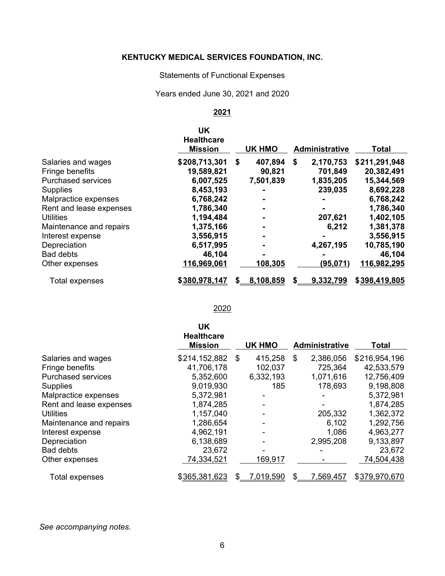Statements of Functional Expenses

Years ended June 30, 2021 and 2020

### **2021**

|                           | <b>UK</b><br><b>Healthcare</b><br><b>Mission</b> |    | <b>UK HMO</b> |    | <b>Administrative</b> | Total         |
|---------------------------|--------------------------------------------------|----|---------------|----|-----------------------|---------------|
| Salaries and wages        | \$208,713,301                                    | S  | 407,894       | \$ | 2,170,753             | \$211,291,948 |
| Fringe benefits           | 19,589,821                                       |    | 90,821        |    | 701,849               | 20,382,491    |
| <b>Purchased services</b> | 6,007,525                                        |    | 7,501,839     |    | 1,835,205             | 15,344,569    |
| <b>Supplies</b>           | 8,453,193                                        |    |               |    | 239,035               | 8,692,228     |
| Malpractice expenses      | 6,768,242                                        |    |               |    |                       | 6,768,242     |
| Rent and lease expenses   | 1,786,340                                        |    |               |    |                       | 1,786,340     |
| <b>Utilities</b>          | 1,194,484                                        |    |               |    | 207,621               | 1,402,105     |
| Maintenance and repairs   | 1,375,166                                        |    |               |    | 6,212                 | 1,381,378     |
| Interest expense          | 3,556,915                                        |    |               |    |                       | 3,556,915     |
| Depreciation              | 6,517,995                                        |    |               |    | 4,267,195             | 10,785,190    |
| <b>Bad debts</b>          | 46,104                                           |    |               |    |                       | 46,104        |
| Other expenses            | 116,969,061                                      |    | 108,305       |    | (95, 071)             | 116,982,295   |
| Total expenses            | \$380,978,147                                    | S. | 8,108,859     | S  | 9,332,799             | \$398,419,805 |

# 2020

|                           | <b>UK</b><br><b>Healthcare</b><br><b>Mission</b> | <b>UK HMO</b>   | <b>Administrative</b> | Total         |
|---------------------------|--------------------------------------------------|-----------------|-----------------------|---------------|
| Salaries and wages        | \$214,152,882                                    | \$<br>415,258   | \$<br>2,386,056       | \$216,954,196 |
| Fringe benefits           | 41,706,178                                       | 102,037         | 725,364               | 42,533,579    |
| <b>Purchased services</b> | 5,352,600                                        | 6,332,193       | 1,071,616             | 12,756,409    |
| <b>Supplies</b>           | 9,019,930                                        | 185             | 178,693               | 9,198,808     |
| Malpractice expenses      | 5,372,981                                        |                 |                       | 5,372,981     |
| Rent and lease expenses   | 1,874,285                                        |                 |                       | 1,874,285     |
| <b>Utilities</b>          | 1,157,040                                        |                 | 205,332               | 1,362,372     |
| Maintenance and repairs   | 1,286,654                                        |                 | 6,102                 | 1,292,756     |
| Interest expense          | 4,962,191                                        |                 | 1,086                 | 4,963,277     |
| Depreciation              | 6,138,689                                        |                 | 2,995,208             | 9,133,897     |
| <b>Bad debts</b>          | 23,672                                           |                 |                       | 23,672        |
| Other expenses            | 74,334,521                                       | 169,917         |                       | 74,504,438    |
| Total expenses            | \$365,381,623                                    | \$<br>7,019,590 | \$<br>7,569,457       | \$379,970,670 |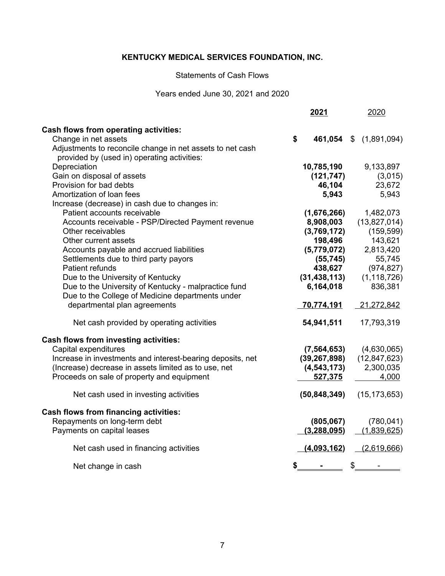### Statements of Cash Flows

Years ended June 30, 2021 and 2020

|                                                            | 2021                                                                                                                                                                                                                                                                                                                  | 2020                   |
|------------------------------------------------------------|-----------------------------------------------------------------------------------------------------------------------------------------------------------------------------------------------------------------------------------------------------------------------------------------------------------------------|------------------------|
| <b>Cash flows from operating activities:</b>               |                                                                                                                                                                                                                                                                                                                       |                        |
| Change in net assets                                       | \$                                                                                                                                                                                                                                                                                                                    | 461,054 \$ (1,891,094) |
| Adjustments to reconcile change in net assets to net cash  |                                                                                                                                                                                                                                                                                                                       |                        |
| provided by (used in) operating activities:                |                                                                                                                                                                                                                                                                                                                       |                        |
| Depreciation                                               | 10,785,190                                                                                                                                                                                                                                                                                                            | 9,133,897              |
| Gain on disposal of assets                                 | (121, 747)                                                                                                                                                                                                                                                                                                            | (3,015)                |
| Provision for bad debts                                    | 46,104                                                                                                                                                                                                                                                                                                                | 23,672                 |
| Amortization of loan fees                                  | 5,943                                                                                                                                                                                                                                                                                                                 | 5,943                  |
| Increase (decrease) in cash due to changes in:             |                                                                                                                                                                                                                                                                                                                       |                        |
| Patient accounts receivable                                | (1,676,266)                                                                                                                                                                                                                                                                                                           | 1,482,073              |
| Accounts receivable - PSP/Directed Payment revenue         | 8,908,003                                                                                                                                                                                                                                                                                                             | (13,827,014)           |
| Other receivables                                          | (3,769,172)                                                                                                                                                                                                                                                                                                           | (159, 599)             |
| Other current assets                                       | 198,496                                                                                                                                                                                                                                                                                                               | 143,621                |
| Accounts payable and accrued liabilities                   | (5,779,072)                                                                                                                                                                                                                                                                                                           | 2,813,420              |
| Settlements due to third party payors                      | (55, 745)                                                                                                                                                                                                                                                                                                             | 55,745                 |
| Patient refunds                                            | 438,627                                                                                                                                                                                                                                                                                                               | (974, 827)             |
| Due to the University of Kentucky                          | (31, 438, 113)                                                                                                                                                                                                                                                                                                        | (1, 118, 726)          |
| Due to the University of Kentucky - malpractice fund       | 6,164,018                                                                                                                                                                                                                                                                                                             | 836,381                |
| Due to the College of Medicine departments under           |                                                                                                                                                                                                                                                                                                                       |                        |
| departmental plan agreements                               | 70,774,191                                                                                                                                                                                                                                                                                                            | 21,272,842             |
| Net cash provided by operating activities                  | 54,941,511                                                                                                                                                                                                                                                                                                            | 17,793,319             |
| <b>Cash flows from investing activities:</b>               |                                                                                                                                                                                                                                                                                                                       |                        |
| Capital expenditures                                       | (7, 564, 653)                                                                                                                                                                                                                                                                                                         | (4,630,065)            |
| Increase in investments and interest-bearing deposits, net | (39, 267, 898)                                                                                                                                                                                                                                                                                                        | (12, 847, 623)         |
| (Increase) decrease in assets limited as to use, net       | (4, 543, 173)                                                                                                                                                                                                                                                                                                         | 2,300,035              |
| Proceeds on sale of property and equipment                 | 527,375                                                                                                                                                                                                                                                                                                               | 4,000                  |
| Net cash used in investing activities                      | (50, 848, 349)                                                                                                                                                                                                                                                                                                        | (15, 173, 653)         |
| <b>Cash flows from financing activities:</b>               |                                                                                                                                                                                                                                                                                                                       |                        |
| Repayments on long-term debt                               | (805, 067)                                                                                                                                                                                                                                                                                                            | (780, 041)             |
| Payments on capital leases                                 | (3, 288, 095)                                                                                                                                                                                                                                                                                                         | (1,839,625)            |
| Net cash used in financing activities                      | (4,093,162)                                                                                                                                                                                                                                                                                                           | (2,619,666)            |
| Net change in cash                                         | $\frac{1}{2}$ - $\frac{1}{2}$ $\frac{1}{2}$ $\frac{1}{2}$ $\frac{1}{2}$ $\frac{1}{2}$ $\frac{1}{2}$ $\frac{1}{2}$ $\frac{1}{2}$ $\frac{1}{2}$ $\frac{1}{2}$ $\frac{1}{2}$ $\frac{1}{2}$ $\frac{1}{2}$ $\frac{1}{2}$ $\frac{1}{2}$ $\frac{1}{2}$ $\frac{1}{2}$ $\frac{1}{2}$ $\frac{1}{2}$ $\frac{1}{2}$ $\frac{1}{2}$ |                        |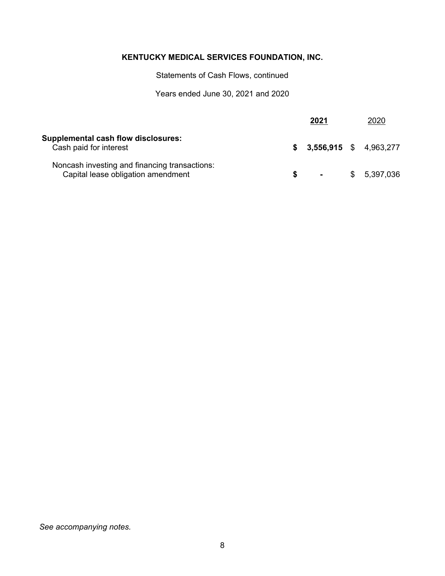Statements of Cash Flows, continued

Years ended June 30, 2021 and 2020

|                                                                                     |     | 2021                      | 2020             |
|-------------------------------------------------------------------------------------|-----|---------------------------|------------------|
| Supplemental cash flow disclosures:<br>Cash paid for interest                       |     | $$3,556,915$ \$ 4,963,277 |                  |
| Noncash investing and financing transactions:<br>Capital lease obligation amendment | s — |                           | $-$ \$ 5,397,036 |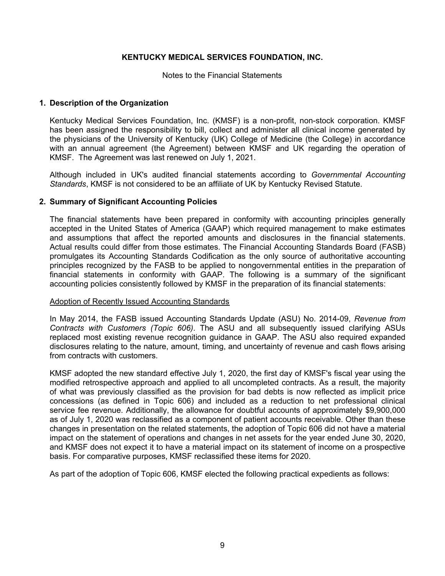Notes to the Financial Statements

### **1. Description of the Organization**

Kentucky Medical Services Foundation, Inc. (KMSF) is a non-profit, non-stock corporation. KMSF has been assigned the responsibility to bill, collect and administer all clinical income generated by the physicians of the University of Kentucky (UK) College of Medicine (the College) in accordance with an annual agreement (the Agreement) between KMSF and UK regarding the operation of KMSF. The Agreement was last renewed on July 1, 2021.

Although included in UK's audited financial statements according to *Governmental Accounting Standards*, KMSF is not considered to be an affiliate of UK by Kentucky Revised Statute.

### **2. Summary of Significant Accounting Policies**

The financial statements have been prepared in conformity with accounting principles generally accepted in the United States of America (GAAP) which required management to make estimates and assumptions that affect the reported amounts and disclosures in the financial statements. Actual results could differ from those estimates. The Financial Accounting Standards Board (FASB) promulgates its Accounting Standards Codification as the only source of authoritative accounting principles recognized by the FASB to be applied to nongovernmental entities in the preparation of financial statements in conformity with GAAP. The following is a summary of the significant accounting policies consistently followed by KMSF in the preparation of its financial statements:

### Adoption of Recently Issued Accounting Standards

In May 2014, the FASB issued Accounting Standards Update (ASU) No. 2014-09, *Revenue from Contracts with Customers (Topic 606)*. The ASU and all subsequently issued clarifying ASUs replaced most existing revenue recognition guidance in GAAP. The ASU also required expanded disclosures relating to the nature, amount, timing, and uncertainty of revenue and cash flows arising from contracts with customers.

KMSF adopted the new standard effective July 1, 2020, the first day of KMSF's fiscal year using the modified retrospective approach and applied to all uncompleted contracts. As a result, the majority of what was previously classified as the provision for bad debts is now reflected as implicit price concessions (as defined in Topic 606) and included as a reduction to net professional clinical service fee revenue. Additionally, the allowance for doubtful accounts of approximately \$9,900,000 as of July 1, 2020 was reclassified as a component of patient accounts receivable. Other than these changes in presentation on the related statements, the adoption of Topic 606 did not have a material impact on the statement of operations and changes in net assets for the year ended June 30, 2020, and KMSF does not expect it to have a material impact on its statement of income on a prospective basis. For comparative purposes, KMSF reclassified these items for 2020.

As part of the adoption of Topic 606, KMSF elected the following practical expedients as follows: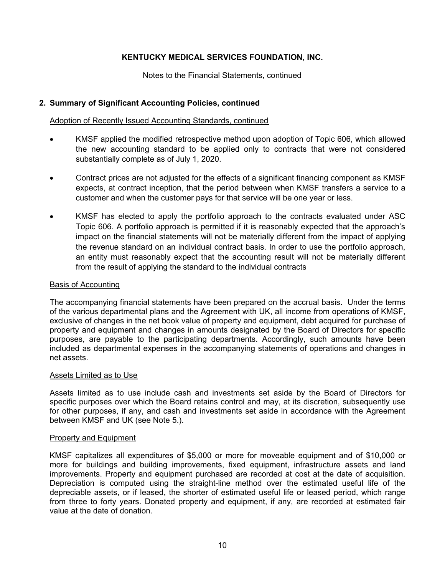Notes to the Financial Statements, continued

### **2. Summary of Significant Accounting Policies, continued**

### Adoption of Recently Issued Accounting Standards, continued

- KMSF applied the modified retrospective method upon adoption of Topic 606, which allowed the new accounting standard to be applied only to contracts that were not considered substantially complete as of July 1, 2020.
- Contract prices are not adjusted for the effects of a significant financing component as KMSF expects, at contract inception, that the period between when KMSF transfers a service to a customer and when the customer pays for that service will be one year or less.
- KMSF has elected to apply the portfolio approach to the contracts evaluated under ASC Topic 606. A portfolio approach is permitted if it is reasonably expected that the approach's impact on the financial statements will not be materially different from the impact of applying the revenue standard on an individual contract basis. In order to use the portfolio approach, an entity must reasonably expect that the accounting result will not be materially different from the result of applying the standard to the individual contracts

### Basis of Accounting

The accompanying financial statements have been prepared on the accrual basis. Under the terms of the various departmental plans and the Agreement with UK, all income from operations of KMSF, exclusive of changes in the net book value of property and equipment, debt acquired for purchase of property and equipment and changes in amounts designated by the Board of Directors for specific purposes, are payable to the participating departments. Accordingly, such amounts have been included as departmental expenses in the accompanying statements of operations and changes in net assets.

### Assets Limited as to Use

Assets limited as to use include cash and investments set aside by the Board of Directors for specific purposes over which the Board retains control and may, at its discretion, subsequently use for other purposes, if any, and cash and investments set aside in accordance with the Agreement between KMSF and UK (see Note 5.).

### Property and Equipment

KMSF capitalizes all expenditures of \$5,000 or more for moveable equipment and of \$10,000 or more for buildings and building improvements, fixed equipment, infrastructure assets and land improvements. Property and equipment purchased are recorded at cost at the date of acquisition. Depreciation is computed using the straight-line method over the estimated useful life of the depreciable assets, or if leased, the shorter of estimated useful life or leased period, which range from three to forty years. Donated property and equipment, if any, are recorded at estimated fair value at the date of donation.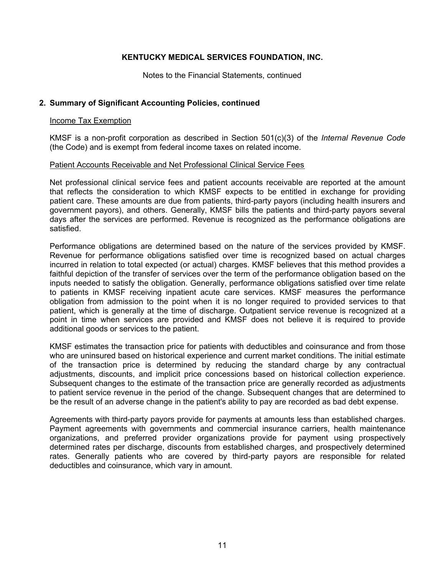Notes to the Financial Statements, continued

### **2. Summary of Significant Accounting Policies, continued**

#### Income Tax Exemption

KMSF is a non-profit corporation as described in Section 501(c)(3) of the *Internal Revenue Code* (the Code) and is exempt from federal income taxes on related income.

### Patient Accounts Receivable and Net Professional Clinical Service Fees

Net professional clinical service fees and patient accounts receivable are reported at the amount that reflects the consideration to which KMSF expects to be entitled in exchange for providing patient care. These amounts are due from patients, third-party payors (including health insurers and government payors), and others. Generally, KMSF bills the patients and third-party payors several days after the services are performed. Revenue is recognized as the performance obligations are satisfied.

Performance obligations are determined based on the nature of the services provided by KMSF. Revenue for performance obligations satisfied over time is recognized based on actual charges incurred in relation to total expected (or actual) charges. KMSF believes that this method provides a faithful depiction of the transfer of services over the term of the performance obligation based on the inputs needed to satisfy the obligation. Generally, performance obligations satisfied over time relate to patients in KMSF receiving inpatient acute care services. KMSF measures the performance obligation from admission to the point when it is no longer required to provided services to that patient, which is generally at the time of discharge. Outpatient service revenue is recognized at a point in time when services are provided and KMSF does not believe it is required to provide additional goods or services to the patient.

KMSF estimates the transaction price for patients with deductibles and coinsurance and from those who are uninsured based on historical experience and current market conditions. The initial estimate of the transaction price is determined by reducing the standard charge by any contractual adjustments, discounts, and implicit price concessions based on historical collection experience. Subsequent changes to the estimate of the transaction price are generally recorded as adjustments to patient service revenue in the period of the change. Subsequent changes that are determined to be the result of an adverse change in the patient's ability to pay are recorded as bad debt expense.

Agreements with third-party payors provide for payments at amounts less than established charges. Payment agreements with governments and commercial insurance carriers, health maintenance organizations, and preferred provider organizations provide for payment using prospectively determined rates per discharge, discounts from established charges, and prospectively determined rates. Generally patients who are covered by third-party payors are responsible for related deductibles and coinsurance, which vary in amount.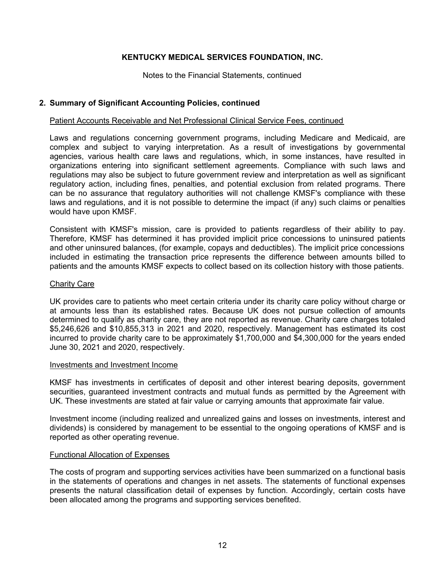Notes to the Financial Statements, continued

### **2. Summary of Significant Accounting Policies, continued**

#### Patient Accounts Receivable and Net Professional Clinical Service Fees, continued

Laws and regulations concerning government programs, including Medicare and Medicaid, are complex and subject to varying interpretation. As a result of investigations by governmental agencies, various health care laws and regulations, which, in some instances, have resulted in organizations entering into significant settlement agreements. Compliance with such laws and regulations may also be subject to future government review and interpretation as well as significant regulatory action, including fines, penalties, and potential exclusion from related programs. There can be no assurance that regulatory authorities will not challenge KMSF's compliance with these laws and regulations, and it is not possible to determine the impact (if any) such claims or penalties would have upon KMSF.

Consistent with KMSF's mission, care is provided to patients regardless of their ability to pay. Therefore, KMSF has determined it has provided implicit price concessions to uninsured patients and other uninsured balances, (for example, copays and deductibles). The implicit price concessions included in estimating the transaction price represents the difference between amounts billed to patients and the amounts KMSF expects to collect based on its collection history with those patients.

#### Charity Care

UK provides care to patients who meet certain criteria under its charity care policy without charge or at amounts less than its established rates. Because UK does not pursue collection of amounts determined to qualify as charity care, they are not reported as revenue. Charity care charges totaled \$5,246,626 and \$10,855,313 in 2021 and 2020, respectively. Management has estimated its cost incurred to provide charity care to be approximately \$1,700,000 and \$4,300,000 for the years ended June 30, 2021 and 2020, respectively.

#### Investments and Investment Income

KMSF has investments in certificates of deposit and other interest bearing deposits, government securities, guaranteed investment contracts and mutual funds as permitted by the Agreement with UK. These investments are stated at fair value or carrying amounts that approximate fair value.

Investment income (including realized and unrealized gains and losses on investments, interest and dividends) is considered by management to be essential to the ongoing operations of KMSF and is reported as other operating revenue.

### Functional Allocation of Expenses

The costs of program and supporting services activities have been summarized on a functional basis in the statements of operations and changes in net assets. The statements of functional expenses presents the natural classification detail of expenses by function. Accordingly, certain costs have been allocated among the programs and supporting services benefited.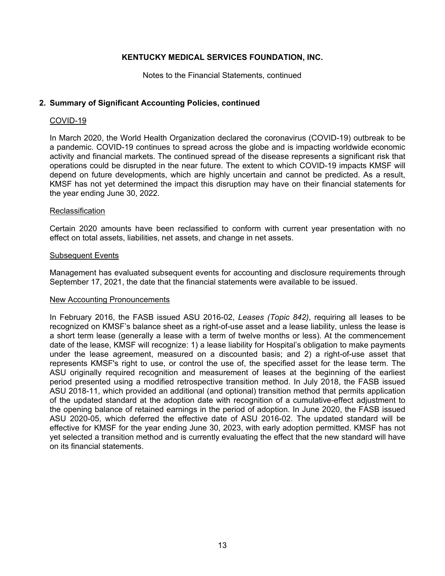Notes to the Financial Statements, continued

### **2. Summary of Significant Accounting Policies, continued**

### COVID-19

In March 2020, the World Health Organization declared the coronavirus (COVID-19) outbreak to be a pandemic. COVID-19 continues to spread across the globe and is impacting worldwide economic activity and financial markets. The continued spread of the disease represents a significant risk that operations could be disrupted in the near future. The extent to which COVID-19 impacts KMSF will depend on future developments, which are highly uncertain and cannot be predicted. As a result, KMSF has not yet determined the impact this disruption may have on their financial statements for the year ending June 30, 2022.

### **Reclassification**

Certain 2020 amounts have been reclassified to conform with current year presentation with no effect on total assets, liabilities, net assets, and change in net assets.

### Subsequent Events

Management has evaluated subsequent events for accounting and disclosure requirements through September 17, 2021, the date that the financial statements were available to be issued.

### New Accounting Pronouncements

In February 2016, the FASB issued ASU 2016-02, *Leases (Topic 842)*, requiring all leases to be recognized on KMSF's balance sheet as a right-of-use asset and a lease liability, unless the lease is a short term lease (generally a lease with a term of twelve months or less). At the commencement date of the lease, KMSF will recognize: 1) a lease liability for Hospital's obligation to make payments under the lease agreement, measured on a discounted basis; and 2) a right-of-use asset that represents KMSF's right to use, or control the use of, the specified asset for the lease term. The ASU originally required recognition and measurement of leases at the beginning of the earliest period presented using a modified retrospective transition method. In July 2018, the FASB issued ASU 2018-11, which provided an additional (and optional) transition method that permits application of the updated standard at the adoption date with recognition of a cumulative-effect adjustment to the opening balance of retained earnings in the period of adoption. In June 2020, the FASB issued ASU 2020-05, which deferred the effective date of ASU 2016-02. The updated standard will be effective for KMSF for the year ending June 30, 2023, with early adoption permitted. KMSF has not yet selected a transition method and is currently evaluating the effect that the new standard will have on its financial statements.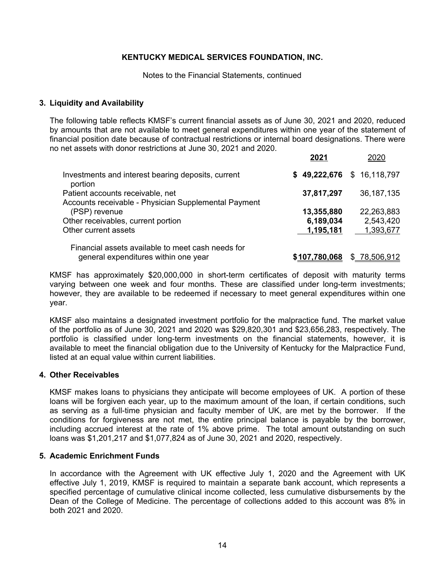Notes to the Financial Statements, continued

### **3. Liquidity and Availability**

The following table reflects KMSF's current financial assets as of June 30, 2021 and 2020, reduced by amounts that are not available to meet general expenditures within one year of the statement of financial position date because of contractual restrictions or internal board designations. There were no net assets with donor restrictions at June 30, 2021 and 2020.

**2021** 2020

| Investments and interest bearing deposits, current<br>portion         |               | $$49,222,676$ $$16,118,797$ |
|-----------------------------------------------------------------------|---------------|-----------------------------|
| Patient accounts receivable, net                                      | 37,817,297    | 36, 187, 135                |
| Accounts receivable - Physician Supplemental Payment<br>(PSP) revenue | 13,355,880    | 22,263,883                  |
| Other receivables, current portion                                    | 6,189,034     | 2,543,420                   |
| Other current assets                                                  | 1,195,181     | 1,393,677                   |
| Financial assets available to meet cash needs for                     |               |                             |
| general expenditures within one year                                  | \$107,780,068 | \$78,506,912                |

KMSF has approximately \$20,000,000 in short-term certificates of deposit with maturity terms varying between one week and four months. These are classified under long-term investments; however, they are available to be redeemed if necessary to meet general expenditures within one year.

KMSF also maintains a designated investment portfolio for the malpractice fund. The market value of the portfolio as of June 30, 2021 and 2020 was \$29,820,301 and \$23,656,283, respectively. The portfolio is classified under long-term investments on the financial statements, however, it is available to meet the financial obligation due to the University of Kentucky for the Malpractice Fund, listed at an equal value within current liabilities.

### **4. Other Receivables**

KMSF makes loans to physicians they anticipate will become employees of UK. A portion of these loans will be forgiven each year, up to the maximum amount of the loan, if certain conditions, such as serving as a full-time physician and faculty member of UK, are met by the borrower. If the conditions for forgiveness are not met, the entire principal balance is payable by the borrower, including accrued interest at the rate of 1% above prime. The total amount outstanding on such loans was \$1,201,217 and \$1,077,824 as of June 30, 2021 and 2020, respectively.

### **5. Academic Enrichment Funds**

In accordance with the Agreement with UK effective July 1, 2020 and the Agreement with UK effective July 1, 2019, KMSF is required to maintain a separate bank account, which represents a specified percentage of cumulative clinical income collected, less cumulative disbursements by the Dean of the College of Medicine. The percentage of collections added to this account was 8% in both 2021 and 2020.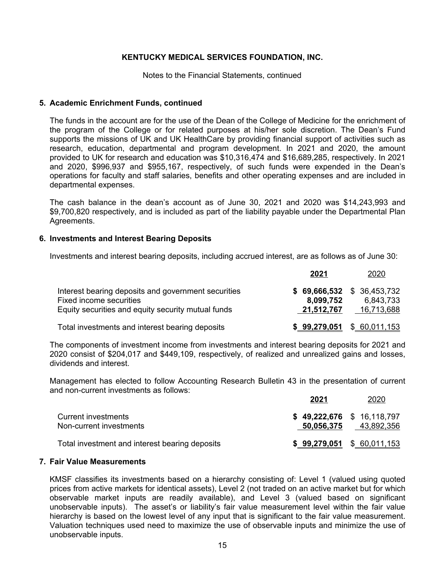Notes to the Financial Statements, continued

#### **5. Academic Enrichment Funds, continued**

The funds in the account are for the use of the Dean of the College of Medicine for the enrichment of the program of the College or for related purposes at his/her sole discretion. The Dean's Fund supports the missions of UK and UK HealthCare by providing financial support of activities such as research, education, departmental and program development. In 2021 and 2020, the amount provided to UK for research and education was \$10,316,474 and \$16,689,285, respectively. In 2021 and 2020, \$996,937 and \$955,167, respectively, of such funds were expended in the Dean's operations for faculty and staff salaries, benefits and other operating expenses and are included in departmental expenses.

The cash balance in the dean's account as of June 30, 2021 and 2020 was \$14,243,993 and \$9,700,820 respectively, and is included as part of the liability payable under the Departmental Plan Agreements.

### **6. Investments and Interest Bearing Deposits**

Investments and interest bearing deposits, including accrued interest, are as follows as of June 30:

|                                                     | 2021       | 2020                       |
|-----------------------------------------------------|------------|----------------------------|
| Interest bearing deposits and government securities |            | $$69,666,532 \$36,453,732$ |
| <b>Fixed income securities</b>                      | 8,099,752  | 6,843,733                  |
| Equity securities and equity security mutual funds  | 21,512,767 | 16,713,688                 |
| Total investments and interest bearing deposits     |            | \$99,279,051 \$60,011,153  |

The components of investment income from investments and interest bearing deposits for 2021 and 2020 consist of \$204,017 and \$449,109, respectively, of realized and unrealized gains and losses, dividends and interest.

Management has elected to follow Accounting Research Bulletin 43 in the presentation of current and non-current investments as follows:

|                                                | 2021 | 2020                                                        |
|------------------------------------------------|------|-------------------------------------------------------------|
| Current investments<br>Non-current investments |      | $$49,222,676$ $$16,118,797$<br><b>50,056,375</b> 43,892,356 |
| Total investment and interest bearing deposits |      | $$99,279,051$ $$60,011,153$                                 |

#### **7. Fair Value Measurements**

KMSF classifies its investments based on a hierarchy consisting of: Level 1 (valued using quoted prices from active markets for identical assets), Level 2 (not traded on an active market but for which observable market inputs are readily available), and Level 3 (valued based on significant unobservable inputs). The asset's or liability's fair value measurement level within the fair value hierarchy is based on the lowest level of any input that is significant to the fair value measurement. Valuation techniques used need to maximize the use of observable inputs and minimize the use of unobservable inputs.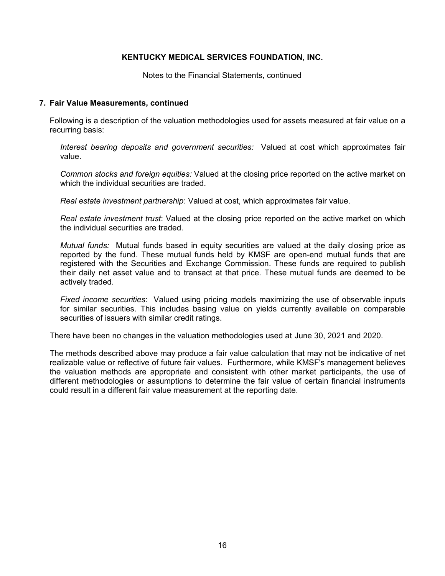Notes to the Financial Statements, continued

#### **7. Fair Value Measurements, continued**

Following is a description of the valuation methodologies used for assets measured at fair value on a recurring basis:

*Interest bearing deposits and government securities:* Valued at cost which approximates fair value.

*Common stocks and foreign equities:* Valued at the closing price reported on the active market on which the individual securities are traded.

*Real estate investment partnership*: Valued at cost, which approximates fair value.

*Real estate investment trust*: Valued at the closing price reported on the active market on which the individual securities are traded.

*Mutual funds:* Mutual funds based in equity securities are valued at the daily closing price as reported by the fund. These mutual funds held by KMSF are open-end mutual funds that are registered with the Securities and Exchange Commission. These funds are required to publish their daily net asset value and to transact at that price. These mutual funds are deemed to be actively traded.

*Fixed income securities*: Valued using pricing models maximizing the use of observable inputs for similar securities. This includes basing value on yields currently available on comparable securities of issuers with similar credit ratings.

There have been no changes in the valuation methodologies used at June 30, 2021 and 2020.

The methods described above may produce a fair value calculation that may not be indicative of net realizable value or reflective of future fair values. Furthermore, while KMSF's management believes the valuation methods are appropriate and consistent with other market participants, the use of different methodologies or assumptions to determine the fair value of certain financial instruments could result in a different fair value measurement at the reporting date.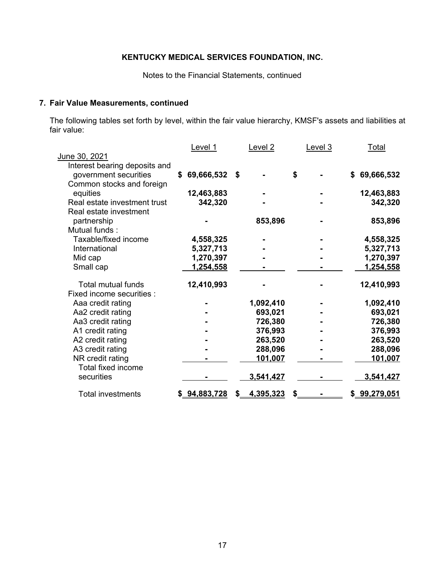Notes to the Financial Statements, continued

### **7. Fair Value Measurements, continued**

The following tables set forth by level, within the fair value hierarchy, KMSF's assets and liabilities at fair value:

|                               | Level 1          |    | Level 2   | Level 3 | Total                |
|-------------------------------|------------------|----|-----------|---------|----------------------|
| June 30, 2021                 |                  |    |           |         |                      |
| Interest bearing deposits and |                  |    |           |         |                      |
| government securities         | 69,666,532<br>\$ | \$ |           | \$      | \$<br>69,666,532     |
| Common stocks and foreign     |                  |    |           |         |                      |
| equities                      | 12,463,883       |    |           |         | 12,463,883           |
| Real estate investment trust  | 342,320          |    |           |         | 342,320              |
| Real estate investment        |                  |    |           |         |                      |
| partnership                   |                  |    | 853,896   |         | 853,896              |
| Mutual funds:                 |                  |    |           |         |                      |
| Taxable/fixed income          | 4,558,325        |    |           |         | 4,558,325            |
| International                 | 5,327,713        |    |           |         | 5,327,713            |
| Mid cap                       | 1,270,397        |    |           |         | 1,270,397            |
| Small cap                     | 1,254,558        |    |           |         | 1,254,558            |
| <b>Total mutual funds</b>     | 12,410,993       |    |           |         | 12,410,993           |
| Fixed income securities :     |                  |    |           |         |                      |
| Aaa credit rating             |                  |    | 1,092,410 |         | 1,092,410            |
| Aa2 credit rating             |                  |    | 693,021   |         | 693,021              |
| Aa3 credit rating             |                  |    | 726,380   |         | 726,380              |
| A1 credit rating              |                  |    | 376,993   |         | 376,993              |
| A2 credit rating              |                  |    | 263,520   |         | 263,520              |
| A3 credit rating              |                  |    | 288,096   |         | 288,096              |
| NR credit rating              |                  |    | 101,007   |         | 101,007              |
| Total fixed income            |                  |    |           |         |                      |
| securities                    |                  |    | 3,541,427 |         | 3,541,427            |
| <b>Total investments</b>      | \$94,883,728     | S  | 4,395,323 | \$      | \$ <u>99,279,051</u> |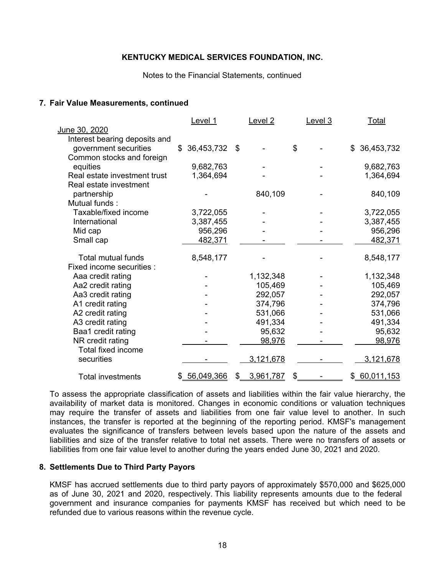### Notes to the Financial Statements, continued

### **7. Fair Value Measurements, continued**

|                                                        | Level 1          |    | Level 2   | Level 3 | Total            |
|--------------------------------------------------------|------------------|----|-----------|---------|------------------|
| June 30, 2020                                          |                  |    |           |         |                  |
| Interest bearing deposits and<br>government securities | 36,453,732<br>\$ | \$ |           | \$      | 36,453,732<br>\$ |
| Common stocks and foreign                              |                  |    |           |         |                  |
| equities                                               | 9,682,763        |    |           |         | 9,682,763        |
| Real estate investment trust                           | 1,364,694        |    |           |         | 1,364,694        |
| Real estate investment                                 |                  |    |           |         |                  |
| partnership                                            |                  |    | 840,109   |         | 840,109          |
| Mutual funds:                                          |                  |    |           |         |                  |
| Taxable/fixed income                                   | 3,722,055        |    |           |         | 3,722,055        |
| International                                          | 3,387,455        |    |           |         | 3,387,455        |
| Mid cap                                                | 956,296          |    |           |         | 956,296          |
| Small cap                                              | 482,371          |    |           |         | 482,371          |
| <b>Total mutual funds</b>                              | 8,548,177        |    |           |         | 8,548,177        |
| Fixed income securities :                              |                  |    |           |         |                  |
| Aaa credit rating                                      |                  |    | 1,132,348 |         | 1,132,348        |
| Aa2 credit rating                                      |                  |    | 105,469   |         | 105,469          |
| Aa3 credit rating                                      |                  |    | 292,057   |         | 292,057          |
| A1 credit rating                                       |                  |    | 374,796   |         | 374,796          |
| A2 credit rating                                       |                  |    | 531,066   |         | 531,066          |
| A3 credit rating                                       |                  |    | 491,334   |         | 491,334          |
| Baa1 credit rating                                     |                  |    | 95,632    |         | 95,632           |
| NR credit rating                                       |                  |    | 98,976    |         | 98,976           |
| Total fixed income                                     |                  |    |           |         |                  |
| securities                                             |                  |    | 3,121,678 |         | 3,121,678        |
| <b>Total investments</b>                               | 56,049,366       | S  | 3,961,787 | \$      | \$60,011,153     |

To assess the appropriate classification of assets and liabilities within the fair value hierarchy, the availability of market data is monitored. Changes in economic conditions or valuation techniques may require the transfer of assets and liabilities from one fair value level to another. In such instances, the transfer is reported at the beginning of the reporting period. KMSF's management evaluates the significance of transfers between levels based upon the nature of the assets and liabilities and size of the transfer relative to total net assets. There were no transfers of assets or liabilities from one fair value level to another during the years ended June 30, 2021 and 2020.

### **8. Settlements Due to Third Party Payors**

KMSF has accrued settlements due to third party payors of approximately \$570,000 and \$625,000 as of June 30, 2021 and 2020, respectively. This liability represents amounts due to the federal government and insurance companies for payments KMSF has received but which need to be refunded due to various reasons within the revenue cycle.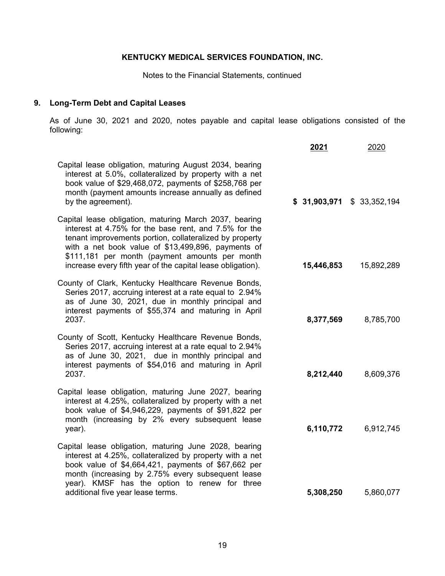Notes to the Financial Statements, continued

# **9. Long-Term Debt and Capital Leases**

As of June 30, 2021 and 2020, notes payable and capital lease obligations consisted of the following:

|                                                                                                                                                                                                                                                                                                                                                   | 2021       | <u>2020</u>                 |
|---------------------------------------------------------------------------------------------------------------------------------------------------------------------------------------------------------------------------------------------------------------------------------------------------------------------------------------------------|------------|-----------------------------|
| Capital lease obligation, maturing August 2034, bearing<br>interest at 5.0%, collateralized by property with a net<br>book value of \$29,468,072, payments of \$258,768 per<br>month (payment amounts increase annually as defined<br>by the agreement).                                                                                          |            | $$31,903,971$ $$33,352,194$ |
| Capital lease obligation, maturing March 2037, bearing<br>interest at 4.75% for the base rent, and 7.5% for the<br>tenant improvements portion, collateralized by property<br>with a net book value of \$13,499,896, payments of<br>\$111,181 per month (payment amounts per month<br>increase every fifth year of the capital lease obligation). | 15,446,853 | 15,892,289                  |
| County of Clark, Kentucky Healthcare Revenue Bonds,<br>Series 2017, accruing interest at a rate equal to 2.94%<br>as of June 30, 2021, due in monthly principal and<br>interest payments of \$55,374 and maturing in April<br>2037.                                                                                                               | 8,377,569  | 8,785,700                   |
| County of Scott, Kentucky Healthcare Revenue Bonds,<br>Series 2017, accruing interest at a rate equal to 2.94%<br>as of June 30, 2021, due in monthly principal and<br>interest payments of \$54,016 and maturing in April<br>2037.                                                                                                               | 8,212,440  | 8,609,376                   |
| Capital lease obligation, maturing June 2027, bearing<br>interest at 4.25%, collateralized by property with a net<br>book value of \$4,946,229, payments of \$91,822 per<br>month (increasing by 2% every subsequent lease<br>year).                                                                                                              | 6,110,772  | 6,912,745                   |
| Capital lease obligation, maturing June 2028, bearing<br>interest at 4.25%, collateralized by property with a net<br>book value of \$4,664,421, payments of \$67,662 per<br>month (increasing by 2.75% every subsequent lease<br>year). KMSF has the option to renew for three<br>additional five year lease terms.                               | 5,308,250  | 5,860,077                   |
|                                                                                                                                                                                                                                                                                                                                                   |            |                             |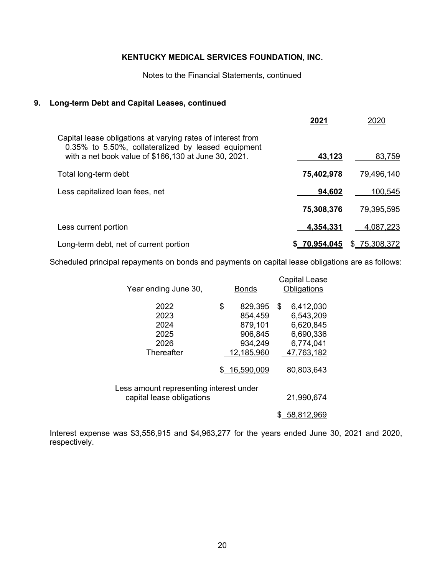Notes to the Financial Statements, continued

### **9. Long-term Debt and Capital Leases, continued**

|                                                                                                                   | 2021         | 2020         |
|-------------------------------------------------------------------------------------------------------------------|--------------|--------------|
| Capital lease obligations at varying rates of interest from<br>0.35% to 5.50%, collateralized by leased equipment |              |              |
| with a net book value of \$166,130 at June 30, 2021.                                                              | 43,123       | 83,759       |
| Total long-term debt                                                                                              | 75,402,978   | 79,496,140   |
| Less capitalized loan fees, net                                                                                   | 94,602       | 100,545      |
|                                                                                                                   | 75,308,376   | 79,395,595   |
| Less current portion                                                                                              | 4,354,331    | 4,087,223    |
| Long-term debt, net of current portion                                                                            | \$70.954.045 | \$75,308,372 |

Scheduled principal repayments on bonds and payments on capital lease obligations are as follows:

| Year ending June 30,                                                 | <b>Bonds</b>                                                            | <b>Capital Lease</b><br>Obligations                                               |
|----------------------------------------------------------------------|-------------------------------------------------------------------------|-----------------------------------------------------------------------------------|
| 2022<br>2023<br>2024<br>2025<br>2026<br>Thereafter                   | \$<br>829,395<br>854,459<br>879,101<br>906,845<br>934,249<br>12,185,960 | \$<br>6,412,030<br>6,543,209<br>6,620,845<br>6,690,336<br>6,774,041<br>47,763,182 |
|                                                                      | \$ 16,590,009                                                           | 80,803,643                                                                        |
| Less amount representing interest under<br>capital lease obligations |                                                                         | 21,990,674                                                                        |
|                                                                      |                                                                         | \$58,812,969                                                                      |

Interest expense was \$3,556,915 and \$4,963,277 for the years ended June 30, 2021 and 2020, respectively.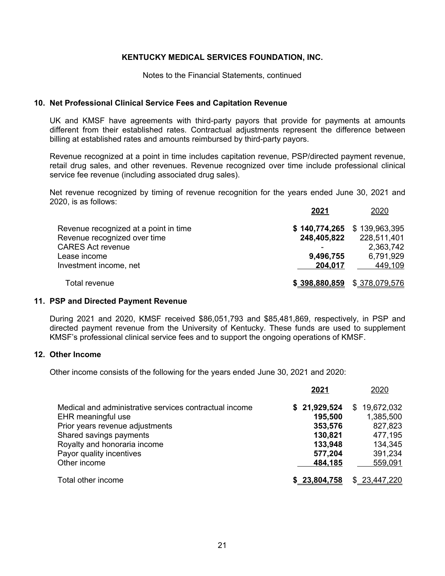Notes to the Financial Statements, continued

#### **10. Net Professional Clinical Service Fees and Capitation Revenue**

UK and KMSF have agreements with third-party payors that provide for payments at amounts different from their established rates. Contractual adjustments represent the difference between billing at established rates and amounts reimbursed by third-party payors.

Revenue recognized at a point in time includes capitation revenue, PSP/directed payment revenue, retail drug sales, and other revenues. Revenue recognized over time include professional clinical service fee revenue (including associated drug sales).

Net revenue recognized by timing of revenue recognition for the years ended June 30, 2021 and 2020, is as follows:

|                                       | 2021        | 2020                          |
|---------------------------------------|-------------|-------------------------------|
| Revenue recognized at a point in time |             | $$140,774,265$ $$139,963,395$ |
| Revenue recognized over time          | 248,405,822 | 228,511,401                   |
| <b>CARES Act revenue</b>              |             | 2,363,742                     |
| Lease income                          | 9,496,755   | 6,791,929                     |
| Investment income, net                | 204,017     | 449,109                       |
| Total revenue                         |             | \$398,880,859 \$378,079,576   |

#### **11. PSP and Directed Payment Revenue**

During 2021 and 2020, KMSF received \$86,051,793 and \$85,481,869, respectively, in PSP and directed payment revenue from the University of Kentucky. These funds are used to supplement KMSF's professional clinical service fees and to support the ongoing operations of KMSF.

### **12. Other Income**

Other income consists of the following for the years ended June 30, 2021 and 2020:

|                                                        | 2021         | 2020         |
|--------------------------------------------------------|--------------|--------------|
| Medical and administrative services contractual income | \$21,929,524 | \$19,672,032 |
| EHR meaningful use                                     | 195,500      | 1,385,500    |
| Prior years revenue adjustments                        | 353,576      | 827,823      |
| Shared savings payments                                | 130,821      | 477,195      |
| Royalty and honoraria income                           | 133,948      | 134,345      |
| Payor quality incentives                               | 577,204      | 391,234      |
| Other income                                           | 484,185      | 559,091      |
| Total other income                                     | \$23,804,758 | \$23,447,220 |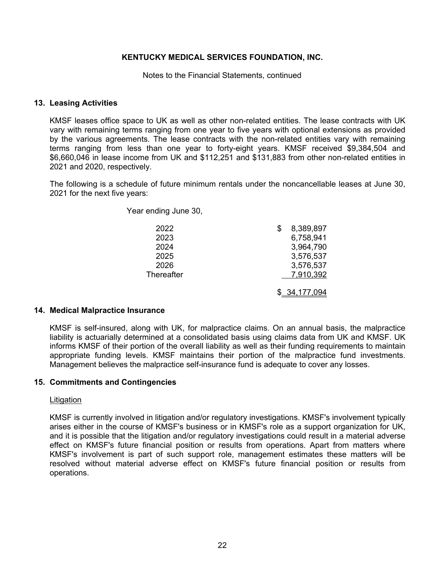Notes to the Financial Statements, continued

### **13. Leasing Activities**

KMSF leases office space to UK as well as other non-related entities. The lease contracts with UK vary with remaining terms ranging from one year to five years with optional extensions as provided by the various agreements. The lease contracts with the non-related entities vary with remaining terms ranging from less than one year to forty-eight years. KMSF received \$9,384,504 and \$6,660,046 in lease income from UK and \$112,251 and \$131,883 from other non-related entities in 2021 and 2020, respectively.

The following is a schedule of future minimum rentals under the noncancellable leases at June 30, 2021 for the next five years:

Year ending June 30,

| 2022       | 8,389,897    |  |
|------------|--------------|--|
| 2023       | 6,758,941    |  |
| 2024       | 3,964,790    |  |
| 2025       | 3,576,537    |  |
| 2026       | 3,576,537    |  |
| Thereafter | 7,910,392    |  |
|            |              |  |
|            | \$34,177,094 |  |

### **14. Medical Malpractice Insurance**

KMSF is self-insured, along with UK, for malpractice claims. On an annual basis, the malpractice liability is actuarially determined at a consolidated basis using claims data from UK and KMSF. UK informs KMSF of their portion of the overall liability as well as their funding requirements to maintain appropriate funding levels. KMSF maintains their portion of the malpractice fund investments. Management believes the malpractice self-insurance fund is adequate to cover any losses.

### **15. Commitments and Contingencies**

### **Litigation**

KMSF is currently involved in litigation and/or regulatory investigations. KMSF's involvement typically arises either in the course of KMSF's business or in KMSF's role as a support organization for UK, and it is possible that the litigation and/or regulatory investigations could result in a material adverse effect on KMSF's future financial position or results from operations. Apart from matters where KMSF's involvement is part of such support role, management estimates these matters will be resolved without material adverse effect on KMSF's future financial position or results from operations.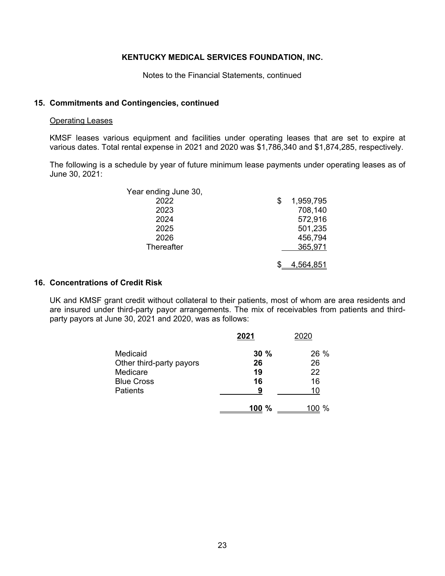Notes to the Financial Statements, continued

#### **15. Commitments and Contingencies, continued**

#### Operating Leases

KMSF leases various equipment and facilities under operating leases that are set to expire at various dates. Total rental expense in 2021 and 2020 was \$1,786,340 and \$1,874,285, respectively.

The following is a schedule by year of future minimum lease payments under operating leases as of June 30, 2021:

| Year ending June 30, |   |           |
|----------------------|---|-----------|
| 2022                 | S | 1,959,795 |
| 2023                 |   | 708,140   |
| 2024                 |   | 572,916   |
| 2025                 |   | 501,235   |
| 2026                 |   | 456,794   |
| Thereafter           |   | 365,971   |
|                      |   | 4,564,851 |

#### **16. Concentrations of Credit Risk**

UK and KMSF grant credit without collateral to their patients, most of whom are area residents and are insured under third-party payor arrangements. The mix of receivables from patients and thirdparty payors at June 30, 2021 and 2020, was as follows:

|                          | 2021  | 2020  |
|--------------------------|-------|-------|
| Medicaid                 | 30%   | 26 %  |
| Other third-party payors | 26    | 26    |
| Medicare                 | 19    | 22    |
| <b>Blue Cross</b>        | 16    | 16    |
| <b>Patients</b>          | 9     | 10    |
|                          | 100 % | 100 % |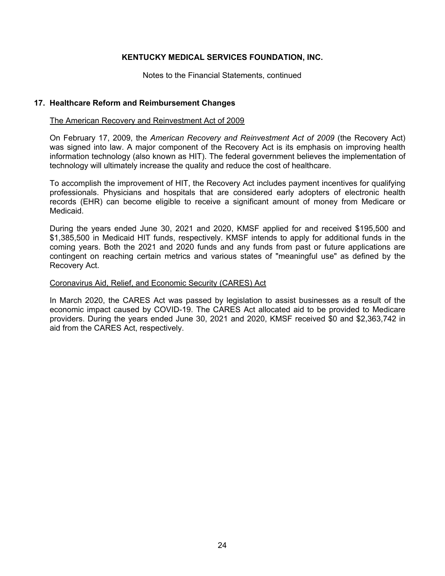Notes to the Financial Statements, continued

#### **17. Healthcare Reform and Reimbursement Changes**

#### The American Recovery and Reinvestment Act of 2009

On February 17, 2009, the *American Recovery and Reinvestment Act of 2009* (the Recovery Act) was signed into law. A major component of the Recovery Act is its emphasis on improving health information technology (also known as HIT). The federal government believes the implementation of technology will ultimately increase the quality and reduce the cost of healthcare.

To accomplish the improvement of HIT, the Recovery Act includes payment incentives for qualifying professionals. Physicians and hospitals that are considered early adopters of electronic health records (EHR) can become eligible to receive a significant amount of money from Medicare or Medicaid.

During the years ended June 30, 2021 and 2020, KMSF applied for and received \$195,500 and \$1,385,500 in Medicaid HIT funds, respectively. KMSF intends to apply for additional funds in the coming years. Both the 2021 and 2020 funds and any funds from past or future applications are contingent on reaching certain metrics and various states of "meaningful use" as defined by the Recovery Act.

#### Coronavirus Aid, Relief, and Economic Security (CARES) Act

In March 2020, the CARES Act was passed by legislation to assist businesses as a result of the economic impact caused by COVID-19. The CARES Act allocated aid to be provided to Medicare providers. During the years ended June 30, 2021 and 2020, KMSF received \$0 and \$2,363,742 in aid from the CARES Act, respectively.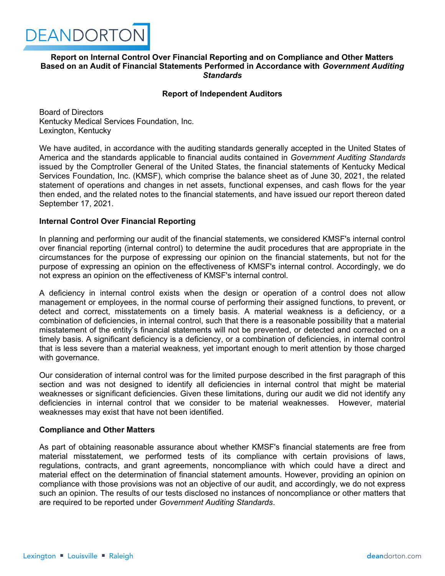

### **Report on Internal Control Over Financial Reporting and on Compliance and Other Matters Based on an Audit of Financial Statements Performed in Accordance with** *Government Auditing Standards*

### **Report of Independent Auditors**

Board of Directors Kentucky Medical Services Foundation, Inc. Lexington, Kentucky

We have audited, in accordance with the auditing standards generally accepted in the United States of America and the standards applicable to financial audits contained in *Government Auditing Standards* issued by the Comptroller General of the United States, the financial statements of Kentucky Medical Services Foundation, Inc. (KMSF), which comprise the balance sheet as of June 30, 2021, the related statement of operations and changes in net assets, functional expenses, and cash flows for the year then ended, and the related notes to the financial statements, and have issued our report thereon dated September 17, 2021.

### **Internal Control Over Financial Reporting**

In planning and performing our audit of the financial statements, we considered KMSF's internal control over financial reporting (internal control) to determine the audit procedures that are appropriate in the circumstances for the purpose of expressing our opinion on the financial statements, but not for the purpose of expressing an opinion on the effectiveness of KMSF's internal control. Accordingly, we do not express an opinion on the effectiveness of KMSF's internal control.

A deficiency in internal control exists when the design or operation of a control does not allow management or employees, in the normal course of performing their assigned functions, to prevent, or detect and correct, misstatements on a timely basis. A material weakness is a deficiency, or a combination of deficiencies, in internal control, such that there is a reasonable possibility that a material misstatement of the entity's financial statements will not be prevented, or detected and corrected on a timely basis. A significant deficiency is a deficiency, or a combination of deficiencies, in internal control that is less severe than a material weakness, yet important enough to merit attention by those charged with governance.

Our consideration of internal control was for the limited purpose described in the first paragraph of this section and was not designed to identify all deficiencies in internal control that might be material weaknesses or significant deficiencies. Given these limitations, during our audit we did not identify any deficiencies in internal control that we consider to be material weaknesses. However, material weaknesses may exist that have not been identified.

#### **Compliance and Other Matters**

As part of obtaining reasonable assurance about whether KMSF's financial statements are free from material misstatement, we performed tests of its compliance with certain provisions of laws, regulations, contracts, and grant agreements, noncompliance with which could have a direct and material effect on the determination of financial statement amounts. However, providing an opinion on compliance with those provisions was not an objective of our audit, and accordingly, we do not express such an opinion. The results of our tests disclosed no instances of noncompliance or other matters that are required to be reported under *Government Auditing Standards*.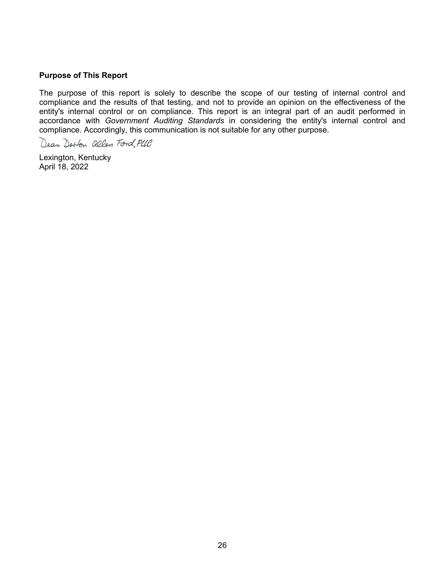### **Purpose of This Report**

The purpose of this report is solely to describe the scope of our testing of internal control and compliance and the results of that testing, and not to provide an opinion on the effectiveness of the entity's internal control or on compliance. This report is an integral part of an audit performed in accordance with *Government Auditing Standards* in considering the entity's internal control and compliance. Accordingly, this communication is not suitable for any other purpose.

Dean Dorfon allen Ford, PUC

Lexington, Kentucky April 18, 2022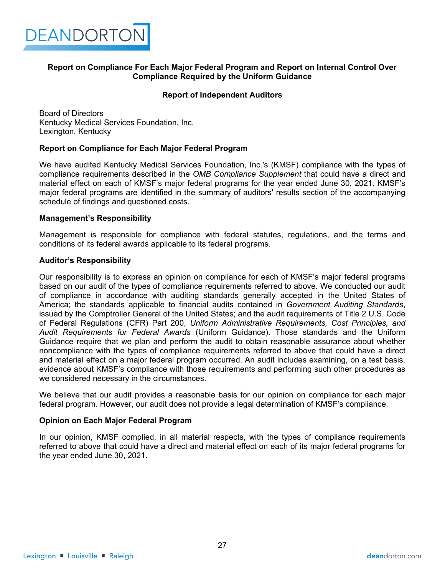

### **Report on Compliance For Each Major Federal Program and Report on Internal Control Over Compliance Required by the Uniform Guidance**

### **Report of Independent Auditors**

Board of Directors Kentucky Medical Services Foundation, Inc. Lexington, Kentucky

### **Report on Compliance for Each Major Federal Program**

We have audited Kentucky Medical Services Foundation, Inc.'s (KMSF) compliance with the types of compliance requirements described in the *OMB Compliance Supplement* that could have a direct and material effect on each of KMSF's major federal programs for the year ended June 30, 2021. KMSF's major federal programs are identified in the summary of auditors' results section of the accompanying schedule of findings and questioned costs.

### **Management's Responsibility**

Management is responsible for compliance with federal statutes, regulations, and the terms and conditions of its federal awards applicable to its federal programs.

#### **Auditor's Responsibility**

Our responsibility is to express an opinion on compliance for each of KMSF's major federal programs based on our audit of the types of compliance requirements referred to above. We conducted our audit of compliance in accordance with auditing standards generally accepted in the United States of America; the standards applicable to financial audits contained in *Government Auditing Standards*, issued by the Comptroller General of the United States; and the audit requirements of Title 2 U.S. Code of Federal Regulations (CFR) Part 200, *Uniform Administrative Requirements, Cost Principles, and Audit Requirements for Federal Awards* (Uniform Guidance). Those standards and the Uniform Guidance require that we plan and perform the audit to obtain reasonable assurance about whether noncompliance with the types of compliance requirements referred to above that could have a direct and material effect on a major federal program occurred. An audit includes examining, on a test basis, evidence about KMSF's compliance with those requirements and performing such other procedures as we considered necessary in the circumstances.

We believe that our audit provides a reasonable basis for our opinion on compliance for each major federal program. However, our audit does not provide a legal determination of KMSF's compliance.

### **Opinion on Each Major Federal Program**

In our opinion, KMSF complied, in all material respects, with the types of compliance requirements referred to above that could have a direct and material effect on each of its major federal programs for the year ended June 30, 2021.

27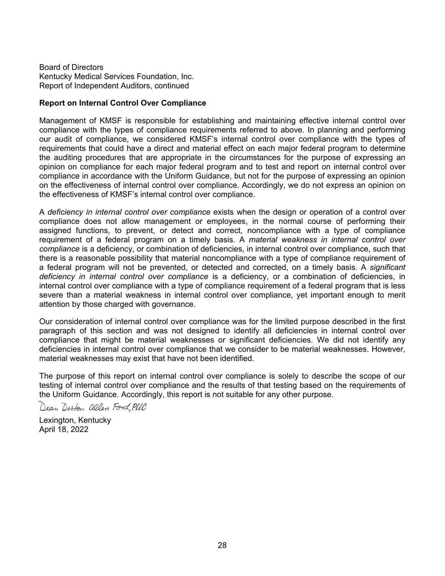Board of Directors Kentucky Medical Services Foundation, Inc. Report of Independent Auditors, continued

### **Report on Internal Control Over Compliance**

Management of KMSF is responsible for establishing and maintaining effective internal control over compliance with the types of compliance requirements referred to above. In planning and performing our audit of compliance, we considered KMSF's internal control over compliance with the types of requirements that could have a direct and material effect on each major federal program to determine the auditing procedures that are appropriate in the circumstances for the purpose of expressing an opinion on compliance for each major federal program and to test and report on internal control over compliance in accordance with the Uniform Guidance, but not for the purpose of expressing an opinion on the effectiveness of internal control over compliance. Accordingly, we do not express an opinion on the effectiveness of KMSF's internal control over compliance.

A *deficiency in internal control over compliance* exists when the design or operation of a control over compliance does not allow management or employees, in the normal course of performing their assigned functions, to prevent, or detect and correct, noncompliance with a type of compliance requirement of a federal program on a timely basis. A *material weakness in internal control over compliance* is a deficiency, or combination of deficiencies, in internal control over compliance, such that there is a reasonable possibility that material noncompliance with a type of compliance requirement of a federal program will not be prevented, or detected and corrected, on a timely basis. A *significant deficiency in internal control over compliance* is a deficiency, or a combination of deficiencies, in internal control over compliance with a type of compliance requirement of a federal program that is less severe than a material weakness in internal control over compliance, yet important enough to merit attention by those charged with governance.

Our consideration of internal control over compliance was for the limited purpose described in the first paragraph of this section and was not designed to identify all deficiencies in internal control over compliance that might be material weaknesses or significant deficiencies. We did not identify any deficiencies in internal control over compliance that we consider to be material weaknesses. However, material weaknesses may exist that have not been identified.

The purpose of this report on internal control over compliance is solely to describe the scope of our testing of internal control over compliance and the results of that testing based on the requirements of the Uniform Guidance. Accordingly, this report is not suitable for any other purpose.

Dean Dorfon allen Ford, PLC

Lexington, Kentucky April 18, 2022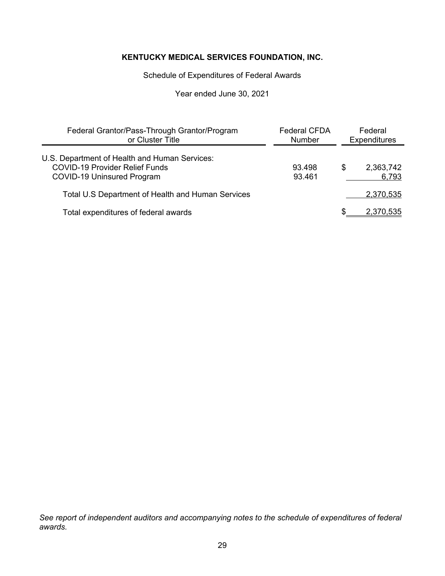Schedule of Expenditures of Federal Awards

Year ended June 30, 2021

| Federal Grantor/Pass-Through Grantor/Program<br>or Cluster Title                                                            | <b>Federal CFDA</b><br><b>Number</b> | Federal<br><b>Expenditures</b> |
|-----------------------------------------------------------------------------------------------------------------------------|--------------------------------------|--------------------------------|
| U.S. Department of Health and Human Services:<br><b>COVID-19 Provider Relief Funds</b><br><b>COVID-19 Uninsured Program</b> | 93.498<br>93.461                     | \$<br>2,363,742<br>6,793       |
| Total U.S Department of Health and Human Services                                                                           |                                      | 2,370,535                      |
| Total expenditures of federal awards                                                                                        |                                      | 2,370,535                      |

*See report of independent auditors and accompanying notes to the schedule of expenditures of federal awards.*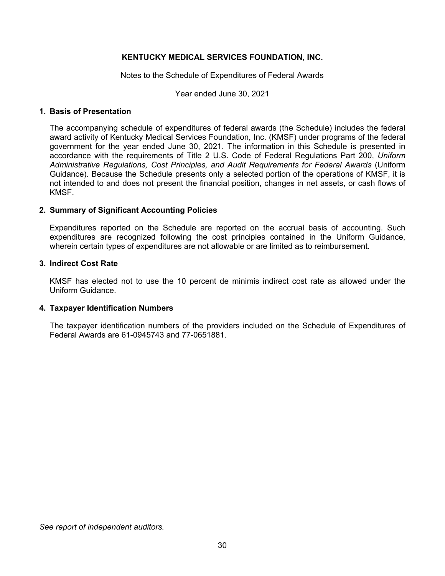### Notes to the Schedule of Expenditures of Federal Awards

Year ended June 30, 2021

### **1. Basis of Presentation**

The accompanying schedule of expenditures of federal awards (the Schedule) includes the federal award activity of Kentucky Medical Services Foundation, Inc. (KMSF) under programs of the federal government for the year ended June 30, 2021. The information in this Schedule is presented in accordance with the requirements of Title 2 U.S. Code of Federal Regulations Part 200, *Uniform Administrative Regulations, Cost Principles, and Audit Requirements for Federal Awards* (Uniform Guidance)*.* Because the Schedule presents only a selected portion of the operations of KMSF, it is not intended to and does not present the financial position, changes in net assets, or cash flows of KMSF.

### **2. Summary of Significant Accounting Policies**

Expenditures reported on the Schedule are reported on the accrual basis of accounting. Such expenditures are recognized following the cost principles contained in the Uniform Guidance, wherein certain types of expenditures are not allowable or are limited as to reimbursement.

### **3. Indirect Cost Rate**

KMSF has elected not to use the 10 percent de minimis indirect cost rate as allowed under the Uniform Guidance.

### **4. Taxpayer Identification Numbers**

The taxpayer identification numbers of the providers included on the Schedule of Expenditures of Federal Awards are 61-0945743 and 77-0651881.